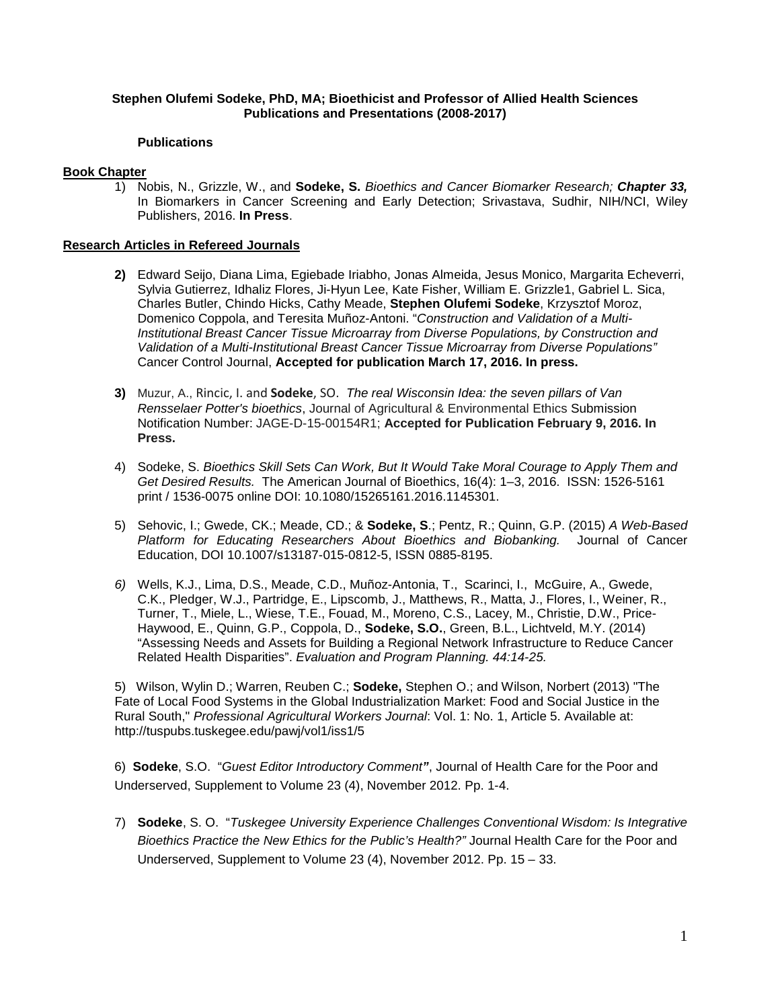### **Stephen Olufemi Sodeke, PhD, MA; Bioethicist and Professor of Allied Health Sciences Publications and Presentations (2008-2017)**

#### **Publications**

## **Book Chapter**

1) Nobis, N., Grizzle, W., and **Sodeke, S.** *Bioethics and Cancer Biomarker Research; Chapter 33,* In Biomarkers in Cancer Screening and Early Detection; Srivastava, Sudhir, NIH/NCI, Wiley Publishers, 2016. **In Press**.

### **Research Articles in Refereed Journals**

- **2)** Edward Seijo, Diana Lima, Egiebade Iriabho, Jonas Almeida, Jesus Monico, Margarita Echeverri, Sylvia Gutierrez, Idhaliz Flores, Ji-Hyun Lee, Kate Fisher, William E. Grizzle1, Gabriel L. Sica, Charles Butler, Chindo Hicks, Cathy Meade, **Stephen Olufemi Sodeke**, Krzysztof Moroz, Domenico Coppola, and Teresita Muñoz-Antoni. "*Construction and Validation of a Multi-Institutional Breast Cancer Tissue Microarray from Diverse Populations, by Construction and Validation of a Multi-Institutional Breast Cancer Tissue Microarray from Diverse Populations"* Cancer Control Journal, **Accepted for publication March 17, 2016. In press.**
- **3)** Muzur, A., Rincic, I. and **Sodeke**, SO. *The real Wisconsin Idea: the seven pillars of Van Rensselaer Potter's bioethics*, Journal of Agricultural & Environmental Ethics Submission Notification Number: JAGE-D-15-00154R1; **Accepted for Publication February 9, 2016. In Press.**
- 4) Sodeke, S. *Bioethics Skill Sets Can Work, But It Would Take Moral Courage to Apply Them and Get Desired Results.* The American Journal of Bioethics, 16(4): 1–3, 2016. ISSN: 1526-5161 print / 1536-0075 online DOI: 10.1080/15265161.2016.1145301.
- 5) Sehovic, I.; Gwede, CK.; Meade, CD.; & **Sodeke, S**.; Pentz, R.; Quinn, G.P. (2015) *A Web-Based Platform for Educating Researchers About Bioethics and Biobanking.* Journal of Cancer Education, DOI 10.1007/s13187-015-0812-5, ISSN 0885-8195.
- *6)* Wells, K.J., Lima, D.S., Meade, C.D., Muñoz-Antonia, T., Scarinci, I., McGuire, A., Gwede, C.K., Pledger, W.J., Partridge, E., Lipscomb, J., Matthews, R., Matta, J., Flores, I., Weiner, R., Turner, T., Miele, L., Wiese, T.E., Fouad, M., Moreno, C.S., Lacey, M., Christie, D.W., Price-Haywood, E., Quinn, G.P., Coppola, D., **Sodeke, S.O.**, Green, B.L., Lichtveld, M.Y. (2014) "Assessing Needs and Assets for Building a Regional Network Infrastructure to Reduce Cancer Related Health Disparities". *Evaluation and Program Planning. 44:14-25.*

5) Wilson, Wylin D.; Warren, Reuben C.; **Sodeke,** Stephen O.; and Wilson, Norbert (2013) "The Fate of Local Food Systems in the Global Industrialization Market: Food and Social Justice in the Rural South," *Professional Agricultural Workers Journal*: Vol. 1: No. 1, Article 5. Available at: http://tuspubs.tuskegee.edu/pawj/vol1/iss1/5

6) **Sodeke**, S.O. "*Guest Editor Introductory Comment"*, Journal of Health Care for the Poor and Underserved, Supplement to Volume 23 (4), November 2012. Pp. 1-4.

7) **Sodeke**, S. O. "*Tuskegee University Experience Challenges Conventional Wisdom: Is Integrative Bioethics Practice the New Ethics for the Public's Health?"* Journal Health Care for the Poor and Underserved, Supplement to Volume 23 (4), November 2012. Pp. 15 – 33.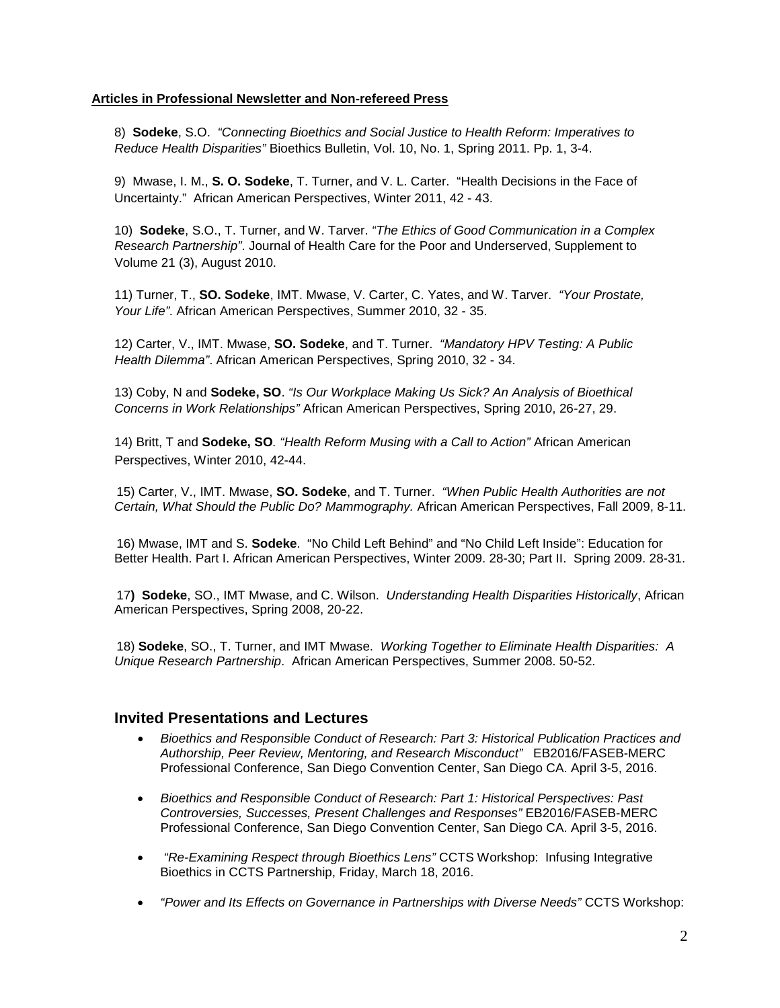### **Articles in Professional Newsletter and Non-refereed Press**

8) **Sodeke**, S.O. *"Connecting Bioethics and Social Justice to Health Reform: Imperatives to Reduce Health Disparities"* Bioethics Bulletin, Vol. 10, No. 1, Spring 2011. Pp. 1, 3-4.

9) Mwase, I. M., **S. O. Sodeke**, T. Turner, and V. L. Carter. "Health Decisions in the Face of Uncertainty." African American Perspectives, Winter 2011, 42 - 43.

10) **Sodeke**, S.O., T. Turner, and W. Tarver. *"The Ethics of Good Communication in a Complex Research Partnership"*. Journal of Health Care for the Poor and Underserved, Supplement to Volume 21 (3), August 2010.

11) Turner, T., **SO. Sodeke**, IMT. Mwase, V. Carter, C. Yates, and W. Tarver. *"Your Prostate, Your Life"*. African American Perspectives, Summer 2010, 32 - 35.

12) Carter, V., IMT. Mwase, **SO. Sodeke**, and T. Turner. *"Mandatory HPV Testing: A Public Health Dilemma"*. African American Perspectives, Spring 2010, 32 - 34.

13) Coby, N and **Sodeke, SO**. *"Is Our Workplace Making Us Sick? An Analysis of Bioethical Concerns in Work Relationships"* African American Perspectives, Spring 2010, 26-27, 29.

14) Britt, T and **Sodeke, SO***. "Health Reform Musing with a Call to Action"* African American Perspectives, Winter 2010, 42-44.

15) Carter, V., IMT. Mwase, **SO. Sodeke**, and T. Turner. *"When Public Health Authorities are not Certain, What Should the Public Do? Mammography.* African American Perspectives, Fall 2009, 8-11.

16) Mwase, IMT and S. **Sodeke**. "No Child Left Behind" and "No Child Left Inside": Education for Better Health. Part I. African American Perspectives, Winter 2009. 28-30; Part II. Spring 2009. 28-31.

17**) Sodeke**, SO., IMT Mwase, and C. Wilson. *Understanding Health Disparities Historically*, African American Perspectives, Spring 2008, 20-22.

18) **Sodeke**, SO., T. Turner, and IMT Mwase. *Working Together to Eliminate Health Disparities: A Unique Research Partnership*. African American Perspectives, Summer 2008. 50-52.

# **Invited Presentations and Lectures**

- *Bioethics and Responsible Conduct of Research: Part 3: Historical Publication Practices and Authorship, Peer Review, Mentoring, and Research Misconduct"* EB2016/FASEB-MERC Professional Conference, San Diego Convention Center, San Diego CA. April 3-5, 2016.
- *Bioethics and Responsible Conduct of Research: Part 1: Historical Perspectives: Past Controversies, Successes, Present Challenges and Responses"* EB2016/FASEB-MERC Professional Conference, San Diego Convention Center, San Diego CA. April 3-5, 2016.
- *"Re-Examining Respect through Bioethics Lens"* CCTS Workshop: Infusing Integrative Bioethics in CCTS Partnership, Friday, March 18, 2016.
- *"Power and Its Effects on Governance in Partnerships with Diverse Needs"* CCTS Workshop: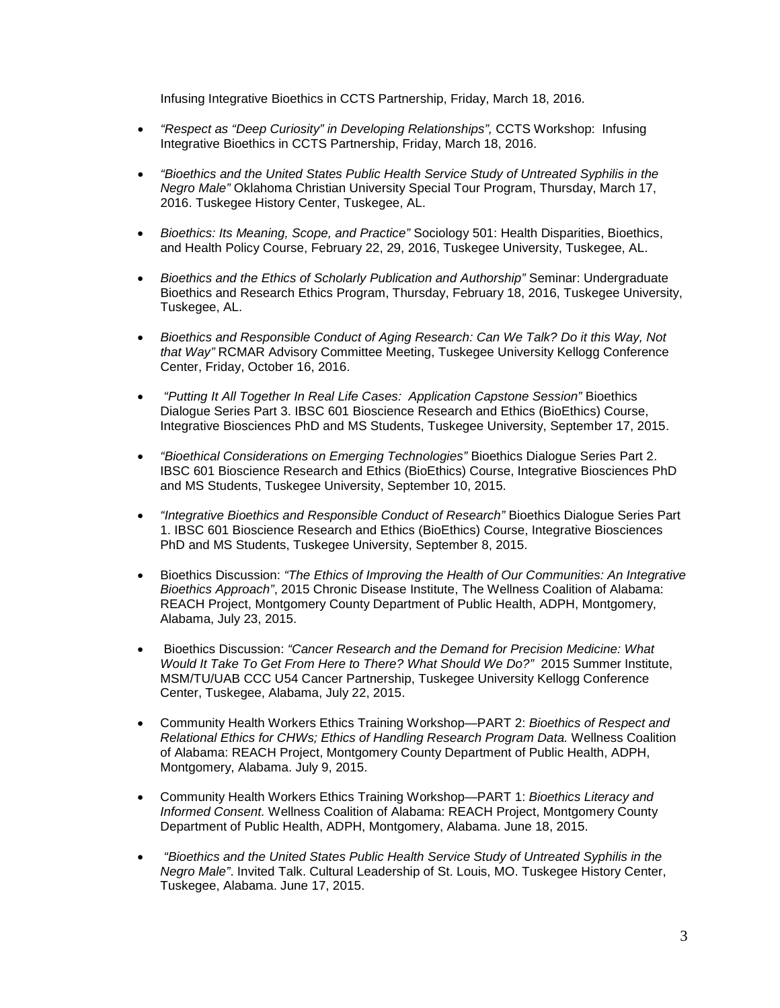Infusing Integrative Bioethics in CCTS Partnership, Friday, March 18, 2016.

- *"Respect as "Deep Curiosity" in Developing Relationships",* CCTS Workshop: Infusing Integrative Bioethics in CCTS Partnership, Friday, March 18, 2016.
- *"Bioethics and the United States Public Health Service Study of Untreated Syphilis in the Negro Male"* Oklahoma Christian University Special Tour Program, Thursday, March 17, 2016. Tuskegee History Center, Tuskegee, AL.
- *Bioethics: Its Meaning, Scope, and Practice"* Sociology 501: Health Disparities, Bioethics, and Health Policy Course, February 22, 29, 2016, Tuskegee University, Tuskegee, AL.
- *Bioethics and the Ethics of Scholarly Publication and Authorship"* Seminar: Undergraduate Bioethics and Research Ethics Program, Thursday, February 18, 2016, Tuskegee University, Tuskegee, AL.
- *Bioethics and Responsible Conduct of Aging Research: Can We Talk? Do it this Way, Not that Way"* RCMAR Advisory Committee Meeting, Tuskegee University Kellogg Conference Center, Friday, October 16, 2016.
- *"Putting It All Together In Real Life Cases: Application Capstone Session"* Bioethics Dialogue Series Part 3. IBSC 601 Bioscience Research and Ethics (BioEthics) Course, Integrative Biosciences PhD and MS Students, Tuskegee University, September 17, 2015.
- *"Bioethical Considerations on Emerging Technologies"* Bioethics Dialogue Series Part 2. IBSC 601 Bioscience Research and Ethics (BioEthics) Course, Integrative Biosciences PhD and MS Students, Tuskegee University, September 10, 2015.
- *"Integrative Bioethics and Responsible Conduct of Research"* Bioethics Dialogue Series Part 1. IBSC 601 Bioscience Research and Ethics (BioEthics) Course, Integrative Biosciences PhD and MS Students, Tuskegee University, September 8, 2015.
- Bioethics Discussion: *"The Ethics of Improving the Health of Our Communities: An Integrative Bioethics Approach"*, 2015 Chronic Disease Institute, The Wellness Coalition of Alabama: REACH Project, Montgomery County Department of Public Health, ADPH, Montgomery, Alabama, July 23, 2015.
- Bioethics Discussion: *"Cancer Research and the Demand for Precision Medicine: What Would It Take To Get From Here to There? What Should We Do?"* 2015 Summer Institute, MSM/TU/UAB CCC U54 Cancer Partnership, Tuskegee University Kellogg Conference Center, Tuskegee, Alabama, July 22, 2015.
- Community Health Workers Ethics Training Workshop—PART 2: *Bioethics of Respect and Relational Ethics for CHWs; Ethics of Handling Research Program Data.* Wellness Coalition of Alabama: REACH Project, Montgomery County Department of Public Health, ADPH, Montgomery, Alabama. July 9, 2015.
- Community Health Workers Ethics Training Workshop—PART 1: *Bioethics Literacy and Informed Consent.* Wellness Coalition of Alabama: REACH Project, Montgomery County Department of Public Health, ADPH, Montgomery, Alabama. June 18, 2015.
- *"Bioethics and the United States Public Health Service Study of Untreated Syphilis in the Negro Male"*. Invited Talk. Cultural Leadership of St. Louis, MO. Tuskegee History Center, Tuskegee, Alabama. June 17, 2015.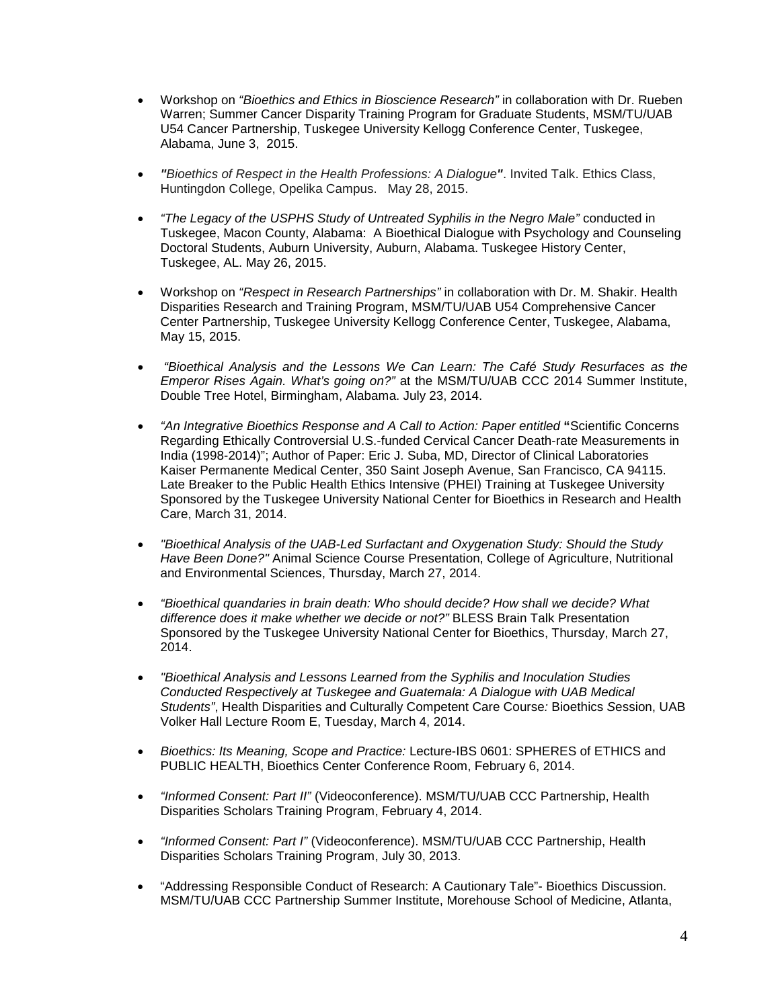- Workshop on *"Bioethics and Ethics in Bioscience Research"* in collaboration with Dr. Rueben Warren; Summer Cancer Disparity Training Program for Graduate Students, MSM/TU/UAB U54 Cancer Partnership, Tuskegee University Kellogg Conference Center, Tuskegee, Alabama, June 3, 2015.
- *"Bioethics of Respect in the Health Professions: A Dialogue"*. Invited Talk. Ethics Class, Huntingdon College, Opelika Campus. May 28, 2015.
- *"The Legacy of the USPHS Study of Untreated Syphilis in the Negro Male"* conducted in Tuskegee, Macon County, Alabama: A Bioethical Dialogue with Psychology and Counseling Doctoral Students, Auburn University, Auburn, Alabama. Tuskegee History Center, Tuskegee, AL. May 26, 2015.
- Workshop on *"Respect in Research Partnerships"* in collaboration with Dr. M. Shakir. Health Disparities Research and Training Program, MSM/TU/UAB U54 Comprehensive Cancer Center Partnership, Tuskegee University Kellogg Conference Center, Tuskegee, Alabama, May 15, 2015.
- *"Bioethical Analysis and the Lessons We Can Learn: The Café Study Resurfaces as the Emperor Rises Again. What's going on?"* at the MSM/TU/UAB CCC 2014 Summer Institute, Double Tree Hotel, Birmingham, Alabama. July 23, 2014.
- *"An Integrative Bioethics Response and A Call to Action: Paper entitled* **"**Scientific Concerns Regarding Ethically Controversial U.S.-funded Cervical Cancer Death-rate Measurements in India (1998-2014)"; Author of Paper: Eric J. Suba, MD, Director of Clinical Laboratories Kaiser Permanente Medical Center, 350 Saint Joseph Avenue, San Francisco, CA 94115. Late Breaker to the Public Health Ethics Intensive (PHEI) Training at Tuskegee University Sponsored by the Tuskegee University National Center for Bioethics in Research and Health Care, March 31, 2014.
- *"Bioethical Analysis of the UAB-Led Surfactant and Oxygenation Study: Should the Study Have Been Done?"* Animal Science Course Presentation, College of Agriculture, Nutritional and Environmental Sciences, Thursday, March 27, 2014.
- *"Bioethical quandaries in brain death: Who should decide? How shall we decide? What difference does it make whether we decide or not?"* BLESS Brain Talk Presentation Sponsored by the Tuskegee University National Center for Bioethics, Thursday, March 27, 2014.
- *"Bioethical Analysis and Lessons Learned from the Syphilis and Inoculation Studies Conducted Respectively at Tuskegee and Guatemala: A Dialogue with UAB Medical Students"*, Health Disparities and Culturally Competent Care Course*:* Bioethics *S*ession, UAB Volker Hall Lecture Room E, Tuesday, March 4, 2014.
- *Bioethics: Its Meaning, Scope and Practice:* Lecture-IBS 0601: SPHERES of ETHICS and PUBLIC HEALTH, Bioethics Center Conference Room, February 6, 2014.
- *"Informed Consent: Part II"* (Videoconference). MSM/TU/UAB CCC Partnership, Health Disparities Scholars Training Program, February 4, 2014.
- *"Informed Consent: Part I"* (Videoconference). MSM/TU/UAB CCC Partnership, Health Disparities Scholars Training Program, July 30, 2013.
- "Addressing Responsible Conduct of Research: A Cautionary Tale"- Bioethics Discussion. MSM/TU/UAB CCC Partnership Summer Institute, Morehouse School of Medicine, Atlanta,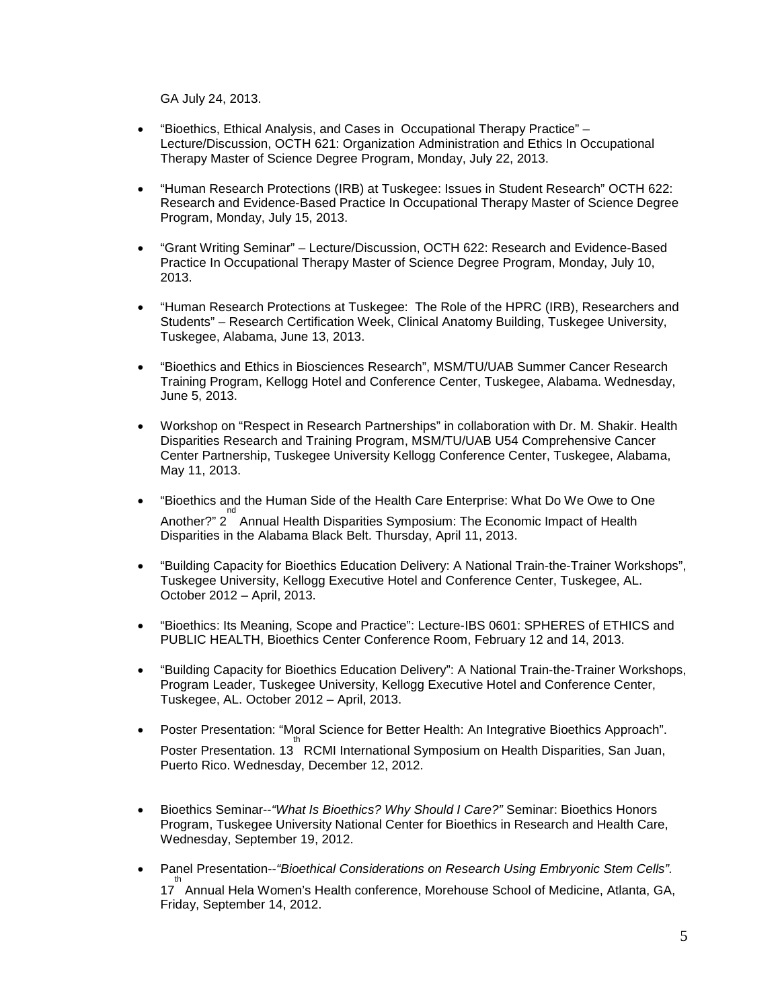GA July 24, 2013.

- "Bioethics, Ethical Analysis, and Cases in Occupational Therapy Practice" Lecture/Discussion, OCTH 621: Organization Administration and Ethics In Occupational Therapy Master of Science Degree Program, Monday, July 22, 2013.
- "Human Research Protections (IRB) at Tuskegee: Issues in Student Research" OCTH 622: Research and Evidence-Based Practice In Occupational Therapy Master of Science Degree Program, Monday, July 15, 2013.
- "Grant Writing Seminar" Lecture/Discussion, OCTH 622: Research and Evidence-Based Practice In Occupational Therapy Master of Science Degree Program, Monday, July 10, 2013.
- "Human Research Protections at Tuskegee: The Role of the HPRC (IRB), Researchers and Students" – Research Certification Week, Clinical Anatomy Building, Tuskegee University, Tuskegee, Alabama, June 13, 2013.
- "Bioethics and Ethics in Biosciences Research", MSM/TU/UAB Summer Cancer Research Training Program, Kellogg Hotel and Conference Center, Tuskegee, Alabama. Wednesday, June 5, 2013.
- Workshop on "Respect in Research Partnerships" in collaboration with Dr. M. Shakir. Health Disparities Research and Training Program, MSM/TU/UAB U54 Comprehensive Cancer Center Partnership, Tuskegee University Kellogg Conference Center, Tuskegee, Alabama, May 11, 2013.
- "Bioethics and the Human Side of the Health Care Enterprise: What Do We Owe to One Another?" 2<sup>nd</sup> Annual Health Disparities Symposium: The Economic Impact of Health Disparities in the Alabama Black Belt. Thursday, April 11, 2013.
- "Building Capacity for Bioethics Education Delivery: A National Train-the-Trainer Workshops", Tuskegee University, Kellogg Executive Hotel and Conference Center, Tuskegee, AL. October 2012 – April, 2013.
- "Bioethics: Its Meaning, Scope and Practice": Lecture-IBS 0601: SPHERES of ETHICS and PUBLIC HEALTH, Bioethics Center Conference Room, February 12 and 14, 2013.
- "Building Capacity for Bioethics Education Delivery": A National Train-the-Trainer Workshops, Program Leader, Tuskegee University, Kellogg Executive Hotel and Conference Center, Tuskegee, AL. October 2012 – April, 2013.
- Poster Presentation: "Moral Science for Better Health: An Integrative Bioethics Approach". Find of the sentation. 13<sup>th</sup> RCMI International Symposium on Health Disparities, San Juan, Puerto Rico. Wednesday, December 12, 2012.
- Bioethics Seminar--*"What Is Bioethics? Why Should I Care?"* Seminar: Bioethics Honors Program, Tuskegee University National Center for Bioethics in Research and Health Care, Wednesday, September 19, 2012.
- Panel Presentation--*"Bioethical Considerations on Research Using Embryonic Stem Cells".*  th<br>17 Annual Hela Women's Health conference, Morehouse School of Medicine, Atlanta, GA, Friday, September 14, 2012.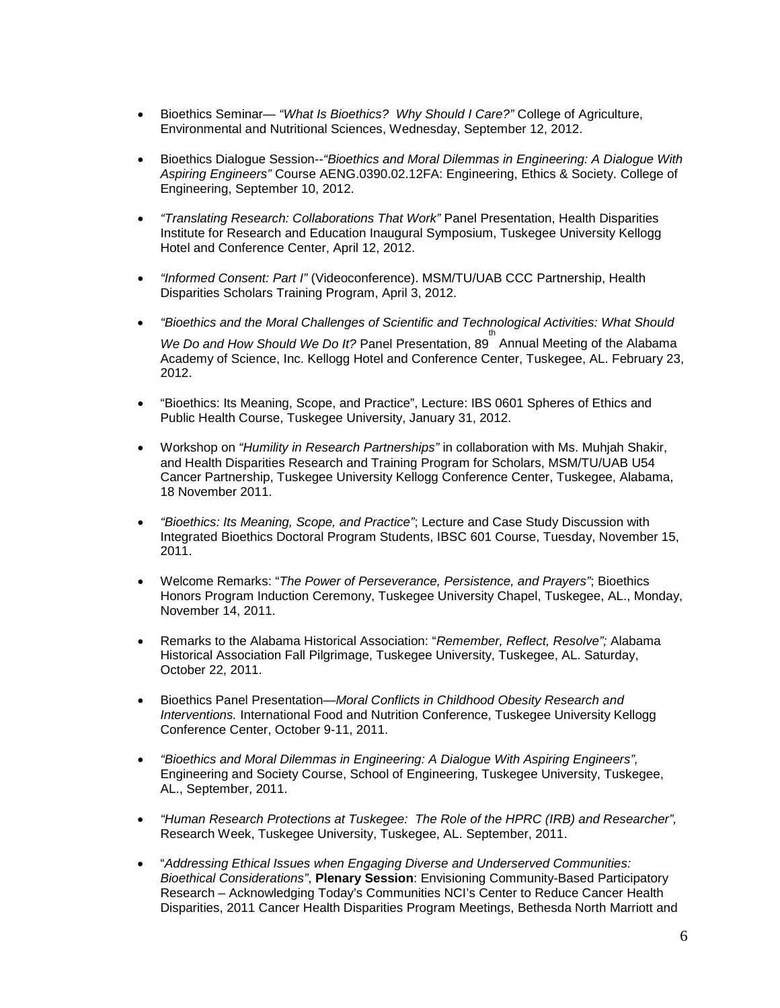- Bioethics Seminar— *"What Is Bioethics? Why Should I Care?"* College of Agriculture, Environmental and Nutritional Sciences, Wednesday, September 12, 2012.
- Bioethics Dialogue Session--*"Bioethics and Moral Dilemmas in Engineering: A Dialogue With Aspiring Engineers"* Course AENG.0390.02.12FA: Engineering, Ethics & Society. College of Engineering, September 10, 2012.
- *"Translating Research: Collaborations That Work"* Panel Presentation, Health Disparities Institute for Research and Education Inaugural Symposium, Tuskegee University Kellogg Hotel and Conference Center, April 12, 2012.
- *"Informed Consent: Part I"* (Videoconference). MSM/TU/UAB CCC Partnership, Health Disparities Scholars Training Program, April 3, 2012.
- *"Bioethics and the Moral Challenges of Scientific and Technological Activities: What Should*  th *We Do and How Should We Do It?* Panel Presentation, 89 Annual Meeting of the Alabama Academy of Science, Inc. Kellogg Hotel and Conference Center, Tuskegee, AL. February 23, 2012.
- "Bioethics: Its Meaning, Scope, and Practice", Lecture: IBS 0601 Spheres of Ethics and Public Health Course, Tuskegee University, January 31, 2012.
- Workshop on *"Humility in Research Partnerships"* in collaboration with Ms. Muhjah Shakir, and Health Disparities Research and Training Program for Scholars, MSM/TU/UAB U54 Cancer Partnership, Tuskegee University Kellogg Conference Center, Tuskegee, Alabama, 18 November 2011.
- *"Bioethics: Its Meaning, Scope, and Practice"*; Lecture and Case Study Discussion with Integrated Bioethics Doctoral Program Students, IBSC 601 Course, Tuesday, November 15, 2011.
- Welcome Remarks: "*The Power of Perseverance, Persistence, and Prayers"*; Bioethics Honors Program Induction Ceremony, Tuskegee University Chapel, Tuskegee, AL., Monday, November 14, 2011.
- Remarks to the Alabama Historical Association: "*Remember, Reflect, Resolve";* Alabama Historical Association Fall Pilgrimage, Tuskegee University, Tuskegee, AL. Saturday, October 22, 2011.
- Bioethics Panel Presentation—*Moral Conflicts in Childhood Obesity Research and Interventions.* International Food and Nutrition Conference, Tuskegee University Kellogg Conference Center, October 9-11, 2011.
- *"Bioethics and Moral Dilemmas in Engineering: A Dialogue With Aspiring Engineers",* Engineering and Society Course, School of Engineering, Tuskegee University, Tuskegee, AL., September, 2011.
- *"Human Research Protections at Tuskegee: The Role of the HPRC (IRB) and Researcher",*  Research Week, Tuskegee University, Tuskegee, AL. September, 2011.
- "*Addressing Ethical Issues when Engaging Diverse and Underserved Communities: Bioethical Considerations"*, **Plenary Session**: Envisioning Community-Based Participatory Research – Acknowledging Today's Communities NCI's Center to Reduce Cancer Health Disparities, 2011 Cancer Health Disparities Program Meetings, Bethesda North Marriott and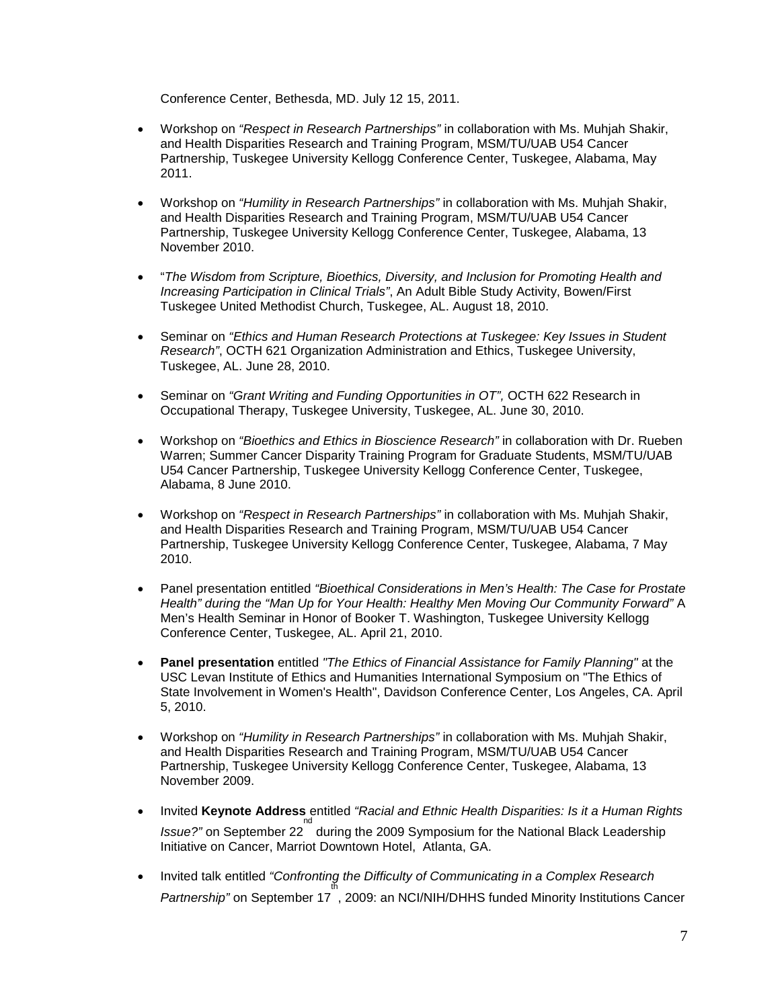Conference Center, Bethesda, MD. July 12 15, 2011.

- Workshop on *"Respect in Research Partnerships"* in collaboration with Ms. Muhjah Shakir, and Health Disparities Research and Training Program, MSM/TU/UAB U54 Cancer Partnership, Tuskegee University Kellogg Conference Center, Tuskegee, Alabama, May 2011.
- Workshop on *"Humility in Research Partnerships"* in collaboration with Ms. Muhjah Shakir, and Health Disparities Research and Training Program, MSM/TU/UAB U54 Cancer Partnership, Tuskegee University Kellogg Conference Center, Tuskegee, Alabama, 13 November 2010.
- "*The Wisdom from Scripture, Bioethics, Diversity, and Inclusion for Promoting Health and Increasing Participation in Clinical Trials"*, An Adult Bible Study Activity, Bowen/First Tuskegee United Methodist Church, Tuskegee, AL. August 18, 2010.
- Seminar on *"Ethics and Human Research Protections at Tuskegee: Key Issues in Student Research"*, OCTH 621 Organization Administration and Ethics, Tuskegee University, Tuskegee, AL. June 28, 2010.
- Seminar on *"Grant Writing and Funding Opportunities in OT",* OCTH 622 Research in Occupational Therapy, Tuskegee University, Tuskegee, AL. June 30, 2010.
- Workshop on *"Bioethics and Ethics in Bioscience Research"* in collaboration with Dr. Rueben Warren; Summer Cancer Disparity Training Program for Graduate Students, MSM/TU/UAB U54 Cancer Partnership, Tuskegee University Kellogg Conference Center, Tuskegee, Alabama, 8 June 2010.
- Workshop on *"Respect in Research Partnerships"* in collaboration with Ms. Muhjah Shakir, and Health Disparities Research and Training Program, MSM/TU/UAB U54 Cancer Partnership, Tuskegee University Kellogg Conference Center, Tuskegee, Alabama, 7 May 2010.
- Panel presentation entitled *"Bioethical Considerations in Men's Health: The Case for Prostate Health" during the "Man Up for Your Health: Healthy Men Moving Our Community Forward"* A Men's Health Seminar in Honor of Booker T. Washington, Tuskegee University Kellogg Conference Center, Tuskegee, AL. April 21, 2010.
- **Panel presentation** entitled *"The Ethics of Financial Assistance for Family Planning"* at the USC Levan Institute of Ethics and Humanities International Symposium on "The Ethics of State Involvement in Women's Health", Davidson Conference Center, Los Angeles, CA. April 5, 2010.
- Workshop on *"Humility in Research Partnerships"* in collaboration with Ms. Muhjah Shakir, and Health Disparities Research and Training Program, MSM/TU/UAB U54 Cancer Partnership, Tuskegee University Kellogg Conference Center, Tuskegee, Alabama, 13 November 2009.
- Invited **Keynote Address** entitled *"Racial and Ethnic Health Disparities: Is it a Human Rights*  Issue?" on September 22<sup>nd</sup> during the 2009 Symposium for the National Black Leadership Initiative on Cancer, Marriot Downtown Hotel, Atlanta, GA.
- Invited talk entitled *"Confronting the Difficulty of Communicating in a Complex Research*  Partnership" on September 17<sup>th</sup>, 2009: an NCI/NIH/DHHS funded Minority Institutions Cancer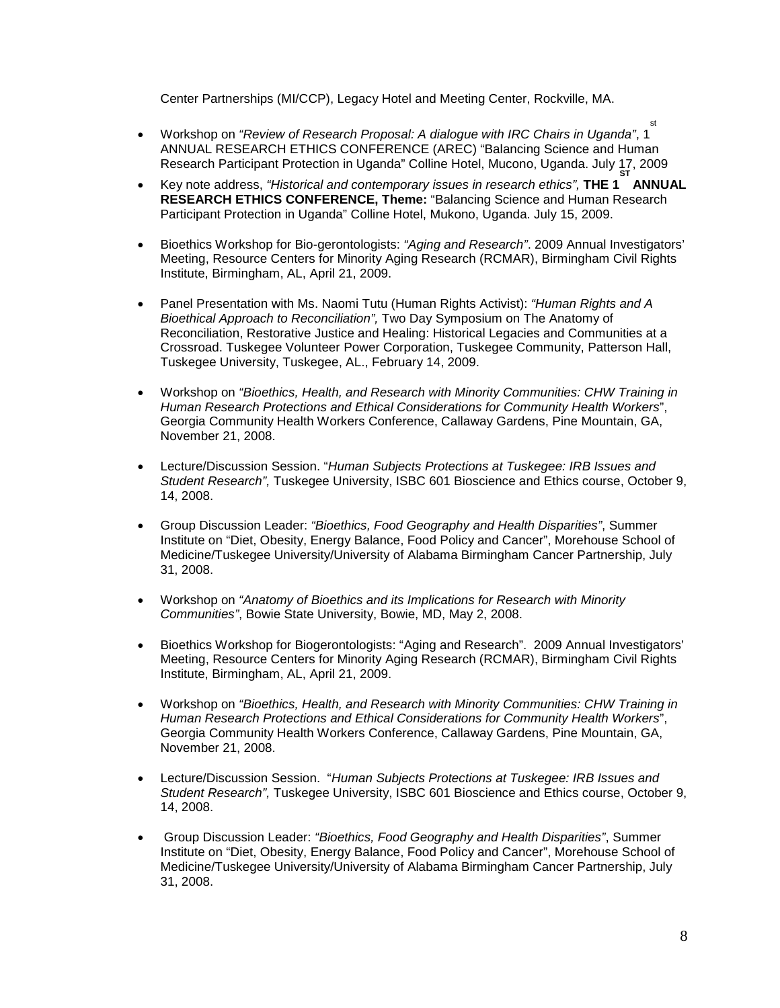Center Partnerships (MI/CCP), Legacy Hotel and Meeting Center, Rockville, MA.

- Workshop on *"Review of Research Proposal: A dialogue with IRC Chairs in Uganda"*, 1 st ANNUAL RESEARCH ETHICS CONFERENCE (AREC) "Balancing Science and Human Research Participant Protection in Uganda" Colline Hotel, Mucono, Uganda. July 17, 2009
- Key note address, *"Historical and contemporary issues in research ethics",* THE 1 ANNUAL **RESEARCH ETHICS CONFERENCE, Theme:** "Balancing Science and Human Research Participant Protection in Uganda" Colline Hotel, Mukono, Uganda. July 15, 2009.
- Bioethics Workshop for Bio-gerontologists: *"Aging and Research"*. 2009 Annual Investigators' Meeting, Resource Centers for Minority Aging Research (RCMAR), Birmingham Civil Rights Institute, Birmingham, AL, April 21, 2009.
- Panel Presentation with Ms. Naomi Tutu (Human Rights Activist): *"Human Rights and A Bioethical Approach to Reconciliation",* Two Day Symposium on The Anatomy of Reconciliation, Restorative Justice and Healing: Historical Legacies and Communities at a Crossroad. Tuskegee Volunteer Power Corporation, Tuskegee Community, Patterson Hall, Tuskegee University, Tuskegee, AL., February 14, 2009.
- Workshop on *"Bioethics, Health, and Research with Minority Communities: CHW Training in Human Research Protections and Ethical Considerations for Community Health Workers*", Georgia Community Health Workers Conference, Callaway Gardens, Pine Mountain, GA, November 21, 2008.
- Lecture/Discussion Session. "*Human Subjects Protections at Tuskegee: IRB Issues and Student Research",* Tuskegee University, ISBC 601 Bioscience and Ethics course, October 9, 14, 2008.
- Group Discussion Leader: *"Bioethics, Food Geography and Health Disparities"*, Summer Institute on "Diet, Obesity, Energy Balance, Food Policy and Cancer", Morehouse School of Medicine/Tuskegee University/University of Alabama Birmingham Cancer Partnership, July 31, 2008.
- Workshop on *"Anatomy of Bioethics and its Implications for Research with Minority Communities"*, Bowie State University, Bowie, MD, May 2, 2008.
- Bioethics Workshop for Biogerontologists: "Aging and Research". 2009 Annual Investigators' Meeting, Resource Centers for Minority Aging Research (RCMAR), Birmingham Civil Rights Institute, Birmingham, AL, April 21, 2009.
- Workshop on *"Bioethics, Health, and Research with Minority Communities: CHW Training in Human Research Protections and Ethical Considerations for Community Health Workers*", Georgia Community Health Workers Conference, Callaway Gardens, Pine Mountain, GA, November 21, 2008.
- Lecture/Discussion Session. "*Human Subjects Protections at Tuskegee: IRB Issues and Student Research",* Tuskegee University, ISBC 601 Bioscience and Ethics course, October 9, 14, 2008.
- Group Discussion Leader: *"Bioethics, Food Geography and Health Disparities"*, Summer Institute on "Diet, Obesity, Energy Balance, Food Policy and Cancer", Morehouse School of Medicine/Tuskegee University/University of Alabama Birmingham Cancer Partnership, July 31, 2008.